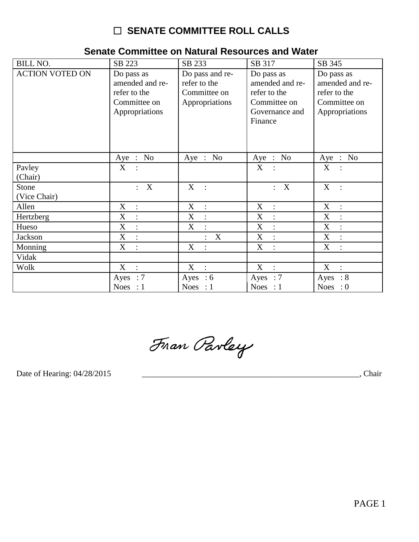# □ SENATE COMMITTEE ROLL CALLS

| <b>BILL NO.</b>        | SB 223                                                                          | SB 233                                                            | SB 317                                                                                     | SB 345                                                                          |
|------------------------|---------------------------------------------------------------------------------|-------------------------------------------------------------------|--------------------------------------------------------------------------------------------|---------------------------------------------------------------------------------|
| <b>ACTION VOTED ON</b> | Do pass as<br>amended and re-<br>refer to the<br>Committee on<br>Appropriations | Do pass and re-<br>refer to the<br>Committee on<br>Appropriations | Do pass as<br>amended and re-<br>refer to the<br>Committee on<br>Governance and<br>Finance | Do pass as<br>amended and re-<br>refer to the<br>Committee on<br>Appropriations |
|                        | No<br>Aye<br>$\ddot{\cdot}$                                                     | Aye : No                                                          | Aye : No                                                                                   | Aye : No                                                                        |
| Pavley                 | X                                                                               |                                                                   | X                                                                                          | X                                                                               |
| (Chair)                |                                                                                 |                                                                   |                                                                                            |                                                                                 |
| Stone<br>(Vice Chair)  | $\boldsymbol{\mathrm{X}}$<br>$\mathbf{L}$                                       | X<br>$\overline{\phantom{a}}$ :                                   | $\boldsymbol{\mathrm{X}}$<br>$\ddot{\cdot}$                                                | X<br>$\sim$ :                                                                   |
| Allen                  | X<br>$\ddot{\cdot}$                                                             | X<br>$\ddot{\cdot}$                                               | X<br>$\ddot{\cdot}$                                                                        | X<br>$\cdot$ :                                                                  |
| Hertzberg              | X<br>$\cdot$                                                                    | X                                                                 | $\boldsymbol{X}$<br>$\vdots$                                                               | X<br>$\ddot{\cdot}$                                                             |
| Hueso                  | X<br>$\ddot{\cdot}$                                                             | X                                                                 | $\boldsymbol{X}$<br>$\vdots$                                                               | X<br>$\ddot{\cdot}$                                                             |
| Jackson                | X                                                                               | X                                                                 | X                                                                                          | X<br>$\ddot{\cdot}$                                                             |
| Monning                | X<br>$\ddot{\cdot}$                                                             | X                                                                 | $\boldsymbol{X}$<br>$\ddot{\cdot}$                                                         | X<br>$\ddot{\cdot}$                                                             |
| Vidak                  |                                                                                 |                                                                   |                                                                                            |                                                                                 |
| Wolk                   | X<br>$\cdot$                                                                    | X<br>$\cdot$ :                                                    | X<br>$\therefore$                                                                          | X<br>$\mathcal{L}$                                                              |
|                        | Ayes : $7$                                                                      | Ayes : $6$                                                        | Ayes : $7$                                                                                 | Ayes : $8$                                                                      |
|                        | Noes : $1$                                                                      | Noes : $1$                                                        | Noes : $1$                                                                                 | Noes : $0$                                                                      |

Fran Parley

Date of Hearing: 04/28/2015

, Chair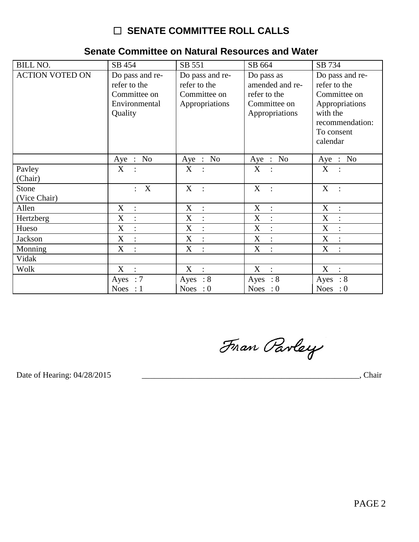# □ SENATE COMMITTEE ROLL CALLS

### Senate Committee on Natural Resources and Water

| <b>BILL NO.</b>        | SB 454                              | SB 551                         | SB 664                              | SB 734                              |
|------------------------|-------------------------------------|--------------------------------|-------------------------------------|-------------------------------------|
| <b>ACTION VOTED ON</b> | Do pass and re-                     | Do pass and re-                | Do pass as                          | Do pass and re-                     |
|                        | refer to the                        | refer to the                   | amended and re-                     | refer to the                        |
|                        | Committee on                        | Committee on                   | refer to the                        | Committee on                        |
|                        | Environmental                       | Appropriations                 | Committee on                        | Appropriations                      |
|                        | Quality                             |                                | Appropriations                      | with the                            |
|                        |                                     |                                |                                     | recommendation:                     |
|                        |                                     |                                |                                     | To consent                          |
|                        |                                     |                                |                                     | calendar                            |
|                        | Aye : No                            | Aye : No                       | Aye : No                            | Aye : No                            |
| Payley                 | X                                   | $X_{-}$                        | X                                   | X                                   |
| (Chair)                |                                     |                                |                                     |                                     |
| Stone                  | X<br>$\mathbf{L}$                   | X :                            | X                                   | X<br>$\sim$ :                       |
| (Vice Chair)           |                                     |                                |                                     |                                     |
| Allen                  | X<br>$\mathcal{L}$                  | $X_{\mathcal{I}}$<br>$\pm$     | $\mathbf X$<br>$\sim$ 1.            | X<br>$\sim$ $\sim$                  |
| Hertzberg              | X<br>$\langle \cdot, \cdot \rangle$ | $X_{-}$<br>$\mathbb{R}^2$      | $X_{\mathcal{E}}$<br>$\sim$ 1.      | X<br>$\mathbb{R}^2$                 |
| Hueso                  | X<br>$\ddot{\cdot}$                 | $X_{\mathcal{E}}$<br>$\cdot$ : | X<br>$\ddot{\cdot}$                 | X<br>$\ddot{\cdot}$                 |
| Jackson                | X<br>$\ddot{\cdot}$                 | $X_{\mathcal{E}}$<br>$\cdot$ : | $X_{\mathcal{E}}$<br>$\ddot{\cdot}$ | $X_{\mathcal{C}}$<br>$\ddot{\cdot}$ |
| Monning                | X<br>$\ddot{\cdot}$                 | X<br>$\mathbb{R}^2$            | X<br>$\ddot{\cdot}$                 | X<br>$\ddot{\cdot}$                 |
| Vidak                  |                                     |                                |                                     |                                     |
| Wolk                   | X<br>$\mathbb{R}^2$                 | X :                            | $X$ :                               | $X$ :                               |
|                        | Ayes : $7$                          | Ayes : $8$                     | Ayes : $8$                          | Ayes : $8$                          |
|                        | Noes : $1$                          | Noes : $0$                     | Noes : $0$                          | Noes : $0$                          |

Fran Parley

Date of Hearing: 04/28/2015

Chair